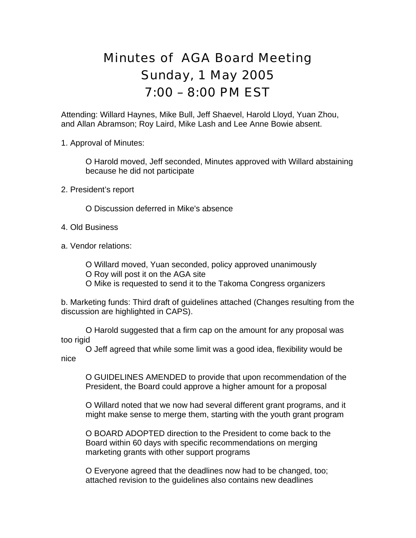## Minutes of AGA Board Meeting Sunday, 1 May 2005 7:00 – 8:00 PM EST

Attending: Willard Haynes, Mike Bull, Jeff Shaevel, Harold Lloyd, Yuan Zhou, and Allan Abramson; Roy Laird, Mike Lash and Lee Anne Bowie absent.

1. Approval of Minutes:

O Harold moved, Jeff seconded, Minutes approved with Willard abstaining because he did not participate

- 2. President's report
	- O Discussion deferred in Mike's absence
- 4. Old Business
- a. Vendor relations:

O Willard moved, Yuan seconded, policy approved unanimously O Roy will post it on the AGA site O Mike is requested to send it to the Takoma Congress organizers

b. Marketing funds: Third draft of guidelines attached (Changes resulting from the discussion are highlighted in CAPS).

 O Harold suggested that a firm cap on the amount for any proposal was too rigid

O Jeff agreed that while some limit was a good idea, flexibility would be nice

O GUIDELINES AMENDED to provide that upon recommendation of the President, the Board could approve a higher amount for a proposal

O Willard noted that we now had several different grant programs, and it might make sense to merge them, starting with the youth grant program

O BOARD ADOPTED direction to the President to come back to the Board within 60 days with specific recommendations on merging marketing grants with other support programs

O Everyone agreed that the deadlines now had to be changed, too; attached revision to the guidelines also contains new deadlines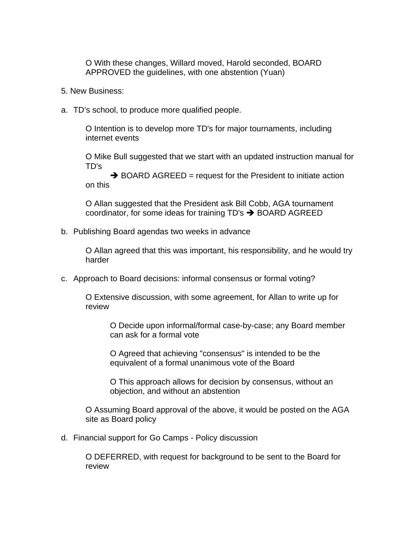O With these changes, Willard moved, Harold seconded, BOARD APPROVED the guidelines, with one abstention (Yuan)

- 5. New Business:
- a. TD's school, to produce more qualified people.

O Intention is to develop more TD's for major tournaments, including internet events

O Mike Bull suggested that we start with an updated instruction manual for TD's

 $\rightarrow$  BOARD AGREED = request for the President to initiate action on this

O Allan suggested that the President ask Bill Cobb, AGA tournament coordinator, for some ideas for training  $TD's \rightarrow BOARD$  AGREED

b. Publishing Board agendas two weeks in advance

O Allan agreed that this was important, his responsibility, and he would try harder

c. Approach to Board decisions: informal consensus or formal voting?

O Extensive discussion, with some agreement, for Allan to write up for review

O Decide upon informal/formal case-by-case; any Board member can ask for a formal vote

O Agreed that achieving "consensus" is intended to be the equivalent of a formal unanimous vote of the Board

O This approach allows for decision by consensus, without an objection, and without an abstention

O Assuming Board approval of the above, it would be posted on the AGA site as Board policy

d. Financial support for Go Camps - Policy discussion

O DEFERRED, with request for background to be sent to the Board for review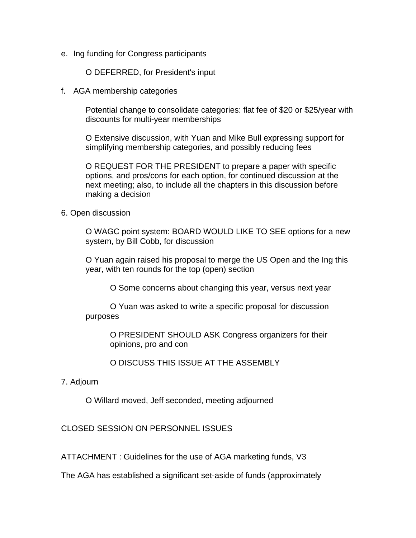e. Ing funding for Congress participants

O DEFERRED, for President's input

f. AGA membership categories

Potential change to consolidate categories: flat fee of \$20 or \$25/year with discounts for multi-year memberships

O Extensive discussion, with Yuan and Mike Bull expressing support for simplifying membership categories, and possibly reducing fees

O REQUEST FOR THE PRESIDENT to prepare a paper with specific options, and pros/cons for each option, for continued discussion at the next meeting; also, to include all the chapters in this discussion before making a decision

## 6. Open discussion

O WAGC point system: BOARD WOULD LIKE TO SEE options for a new system, by Bill Cobb, for discussion

O Yuan again raised his proposal to merge the US Open and the Ing this year, with ten rounds for the top (open) section

O Some concerns about changing this year, versus next year

O Yuan was asked to write a specific proposal for discussion purposes

> O PRESIDENT SHOULD ASK Congress organizers for their opinions, pro and con

O DISCUSS THIS ISSUE AT THE ASSEMBLY

7. Adjourn

O Willard moved, Jeff seconded, meeting adjourned

CLOSED SESSION ON PERSONNEL ISSUES

ATTACHMENT : Guidelines for the use of AGA marketing funds, V3

The AGA has established a significant set-aside of funds (approximately